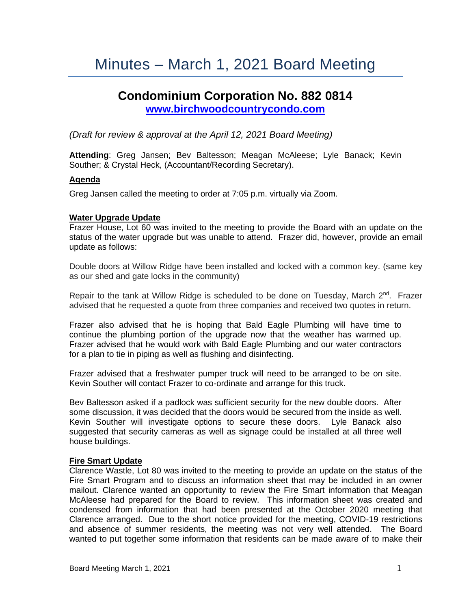# Minutes – March 1, 2021 Board Meeting

## **Condominium Corporation No. 882 0814 [www.birchwoodcountrycondo.com](http://www.birchwoodcountrycondo.com/)**

### *(Draft for review & approval at the April 12, 2021 Board Meeting)*

**Attending**: Greg Jansen; Bev Baltesson; Meagan McAleese; Lyle Banack; Kevin Souther; & Crystal Heck, (Accountant/Recording Secretary).

#### **Agenda**

Greg Jansen called the meeting to order at 7:05 p.m. virtually via Zoom.

#### **Water Upgrade Update**

Frazer House, Lot 60 was invited to the meeting to provide the Board with an update on the status of the water upgrade but was unable to attend. Frazer did, however, provide an email update as follows:

Double doors at Willow Ridge have been installed and locked with a common key. (same key as our shed and gate locks in the community)

Repair to the tank at Willow Ridge is scheduled to be done on Tuesday, March  $2^{nd}$ . Frazer advised that he requested a quote from three companies and received two quotes in return.

Frazer also advised that he is hoping that Bald Eagle Plumbing will have time to continue the plumbing portion of the upgrade now that the weather has warmed up. Frazer advised that he would work with Bald Eagle Plumbing and our water contractors for a plan to tie in piping as well as flushing and disinfecting.

Frazer advised that a freshwater pumper truck will need to be arranged to be on site. Kevin Souther will contact Frazer to co-ordinate and arrange for this truck.

Bev Baltesson asked if a padlock was sufficient security for the new double doors. After some discussion, it was decided that the doors would be secured from the inside as well. Kevin Souther will investigate options to secure these doors. Lyle Banack also suggested that security cameras as well as signage could be installed at all three well house buildings.

#### **Fire Smart Update**

Clarence Wastle, Lot 80 was invited to the meeting to provide an update on the status of the Fire Smart Program and to discuss an information sheet that may be included in an owner mailout. Clarence wanted an opportunity to review the Fire Smart information that Meagan McAleese had prepared for the Board to review. This information sheet was created and condensed from information that had been presented at the October 2020 meeting that Clarence arranged. Due to the short notice provided for the meeting, COVID-19 restrictions and absence of summer residents, the meeting was not very well attended. The Board wanted to put together some information that residents can be made aware of to make their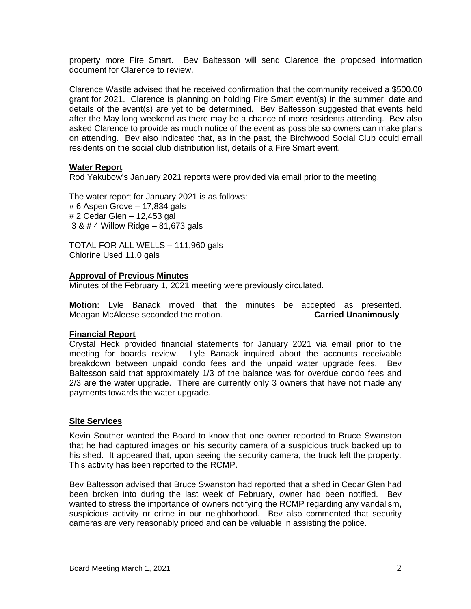property more Fire Smart. Bev Baltesson will send Clarence the proposed information document for Clarence to review.

Clarence Wastle advised that he received confirmation that the community received a \$500.00 grant for 2021. Clarence is planning on holding Fire Smart event(s) in the summer, date and details of the event(s) are yet to be determined. Bev Baltesson suggested that events held after the May long weekend as there may be a chance of more residents attending. Bev also asked Clarence to provide as much notice of the event as possible so owners can make plans on attending. Bev also indicated that, as in the past, the Birchwood Social Club could email residents on the social club distribution list, details of a Fire Smart event.

#### **Water Report**

Rod Yakubow's January 2021 reports were provided via email prior to the meeting.

The water report for January 2021 is as follows: # 6 Aspen Grove – 17,834 gals # 2 Cedar Glen – 12,453 gal 3 & # 4 Willow Ridge – 81,673 gals

TOTAL FOR ALL WELLS – 111,960 gals Chlorine Used 11.0 gals

#### **Approval of Previous Minutes**

Minutes of the February 1, 2021 meeting were previously circulated.

**Motion:** Lyle Banack moved that the minutes be accepted as presented. Meagan McAleese seconded the motion. **Carried Unanimously**

#### **Financial Report**

Crystal Heck provided financial statements for January 2021 via email prior to the meeting for boards review. Lyle Banack inquired about the accounts receivable breakdown between unpaid condo fees and the unpaid water upgrade fees. Bev Baltesson said that approximately 1/3 of the balance was for overdue condo fees and 2/3 are the water upgrade. There are currently only 3 owners that have not made any payments towards the water upgrade.

#### **Site Services**

Kevin Souther wanted the Board to know that one owner reported to Bruce Swanston that he had captured images on his security camera of a suspicious truck backed up to his shed. It appeared that, upon seeing the security camera, the truck left the property. This activity has been reported to the RCMP.

Bev Baltesson advised that Bruce Swanston had reported that a shed in Cedar Glen had been broken into during the last week of February, owner had been notified. Bev wanted to stress the importance of owners notifying the RCMP regarding any vandalism, suspicious activity or crime in our neighborhood. Bev also commented that security cameras are very reasonably priced and can be valuable in assisting the police.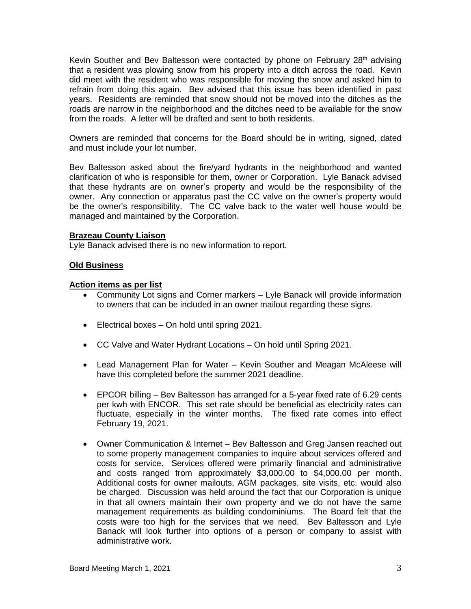Kevin Souther and Bey Baltesson were contacted by phone on February 28<sup>th</sup> advising that a resident was plowing snow from his property into a ditch across the road. Kevin did meet with the resident who was responsible for moving the snow and asked him to refrain from doing this again. Bev advised that this issue has been identified in past years. Residents are reminded that snow should not be moved into the ditches as the roads are narrow in the neighborhood and the ditches need to be available for the snow from the roads. A letter will be drafted and sent to both residents.

Owners are reminded that concerns for the Board should be in writing, signed, dated and must include your lot number.

Bev Baltesson asked about the fire/yard hydrants in the neighborhood and wanted clarification of who is responsible for them, owner or Corporation. Lyle Banack advised that these hydrants are on owner's property and would be the responsibility of the owner. Any connection or apparatus past the CC valve on the owner's property would be the owner's responsibility. The CC valve back to the water well house would be managed and maintained by the Corporation.

#### **Brazeau County Liaison**

Lyle Banack advised there is no new information to report.

#### **Old Business**

#### **Action items as per list**

- Community Lot signs and Corner markers Lyle Banack will provide information to owners that can be included in an owner mailout regarding these signs.
- Electrical boxes On hold until spring 2021.
- CC Valve and Water Hydrant Locations On hold until Spring 2021.
- Lead Management Plan for Water Kevin Souther and Meagan McAleese will have this completed before the summer 2021 deadline.
- EPCOR billing Bev Baltesson has arranged for a 5-year fixed rate of 6.29 cents per kwh with ENCOR. This set rate should be beneficial as electricity rates can fluctuate, especially in the winter months. The fixed rate comes into effect February 19, 2021.
- Owner Communication & Internet Bev Baltesson and Greg Jansen reached out to some property management companies to inquire about services offered and costs for service. Services offered were primarily financial and administrative and costs ranged from approximately \$3,000.00 to \$4,000.00 per month. Additional costs for owner mailouts, AGM packages, site visits, etc. would also be charged. Discussion was held around the fact that our Corporation is unique in that all owners maintain their own property and we do not have the same management requirements as building condominiums. The Board felt that the costs were too high for the services that we need. Bev Baltesson and Lyle Banack will look further into options of a person or company to assist with administrative work.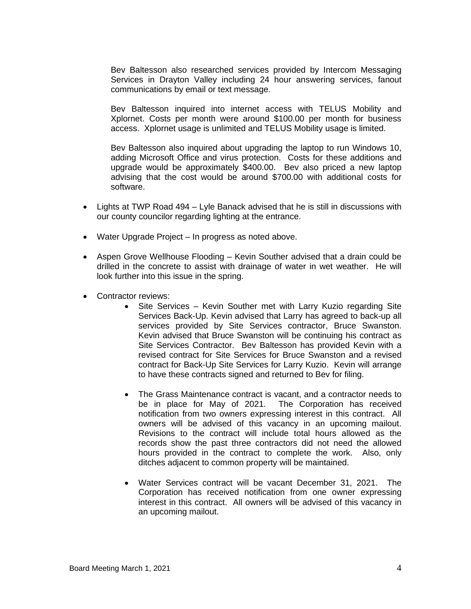Bev Baltesson also researched services provided by Intercom Messaging Services in Drayton Valley including 24 hour answering services, fanout communications by email or text message.

Bev Baltesson inquired into internet access with TELUS Mobility and Xplornet. Costs per month were around \$100.00 per month for business access. Xplornet usage is unlimited and TELUS Mobility usage is limited.

Bev Baltesson also inquired about upgrading the laptop to run Windows 10, adding Microsoft Office and virus protection. Costs for these additions and upgrade would be approximately \$400.00. Bev also priced a new laptop advising that the cost would be around \$700.00 with additional costs for software.

- Lights at TWP Road 494 Lyle Banack advised that he is still in discussions with our county councilor regarding lighting at the entrance.
- Water Upgrade Project In progress as noted above.
- Aspen Grove Wellhouse Flooding Kevin Souther advised that a drain could be drilled in the concrete to assist with drainage of water in wet weather. He will look further into this issue in the spring.
- Contractor reviews:
	- Site Services Kevin Souther met with Larry Kuzio regarding Site Services Back-Up. Kevin advised that Larry has agreed to back-up all services provided by Site Services contractor, Bruce Swanston. Kevin advised that Bruce Swanston will be continuing his contract as Site Services Contractor. Bev Baltesson has provided Kevin with a revised contract for Site Services for Bruce Swanston and a revised contract for Back-Up Site Services for Larry Kuzio. Kevin will arrange to have these contracts signed and returned to Bev for filing.
	- The Grass Maintenance contract is vacant, and a contractor needs to be in place for May of 2021. The Corporation has received notification from two owners expressing interest in this contract. All owners will be advised of this vacancy in an upcoming mailout. Revisions to the contract will include total hours allowed as the records show the past three contractors did not need the allowed hours provided in the contract to complete the work. Also, only ditches adjacent to common property will be maintained.
	- Water Services contract will be vacant December 31, 2021. The Corporation has received notification from one owner expressing interest in this contract. All owners will be advised of this vacancy in an upcoming mailout.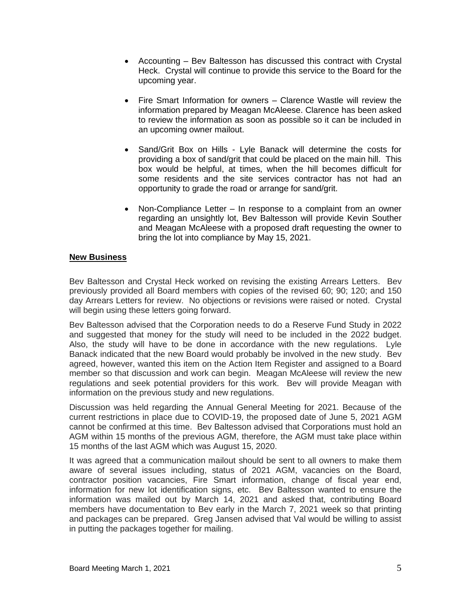- Accounting Bev Baltesson has discussed this contract with Crystal Heck. Crystal will continue to provide this service to the Board for the upcoming year.
- Fire Smart Information for owners Clarence Wastle will review the information prepared by Meagan McAleese. Clarence has been asked to review the information as soon as possible so it can be included in an upcoming owner mailout.
- Sand/Grit Box on Hills Lyle Banack will determine the costs for providing a box of sand/grit that could be placed on the main hill. This box would be helpful, at times, when the hill becomes difficult for some residents and the site services contractor has not had an opportunity to grade the road or arrange for sand/grit.
- Non-Compliance Letter In response to a complaint from an owner regarding an unsightly lot, Bev Baltesson will provide Kevin Souther and Meagan McAleese with a proposed draft requesting the owner to bring the lot into compliance by May 15, 2021.

#### **New Business**

Bev Baltesson and Crystal Heck worked on revising the existing Arrears Letters. Bev previously provided all Board members with copies of the revised 60; 90; 120; and 150 day Arrears Letters for review. No objections or revisions were raised or noted. Crystal will begin using these letters going forward.

Bev Baltesson advised that the Corporation needs to do a Reserve Fund Study in 2022 and suggested that money for the study will need to be included in the 2022 budget. Also, the study will have to be done in accordance with the new regulations. Lyle Banack indicated that the new Board would probably be involved in the new study. Bev agreed, however, wanted this item on the Action Item Register and assigned to a Board member so that discussion and work can begin. Meagan McAleese will review the new regulations and seek potential providers for this work. Bev will provide Meagan with information on the previous study and new regulations.

Discussion was held regarding the Annual General Meeting for 2021. Because of the current restrictions in place due to COVID-19, the proposed date of June 5, 2021 AGM cannot be confirmed at this time. Bev Baltesson advised that Corporations must hold an AGM within 15 months of the previous AGM, therefore, the AGM must take place within 15 months of the last AGM which was August 15, 2020.

It was agreed that a communication mailout should be sent to all owners to make them aware of several issues including, status of 2021 AGM, vacancies on the Board, contractor position vacancies, Fire Smart information, change of fiscal year end, information for new lot identification signs, etc. Bev Baltesson wanted to ensure the information was mailed out by March 14, 2021 and asked that, contributing Board members have documentation to Bev early in the March 7, 2021 week so that printing and packages can be prepared. Greg Jansen advised that Val would be willing to assist in putting the packages together for mailing.